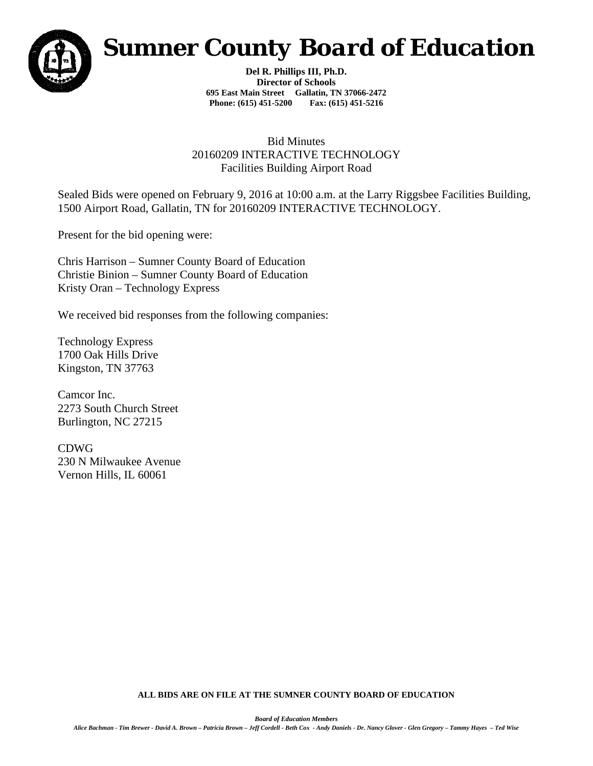

## *Sumner County Board of Education*

**Del R. Phillips III, Ph.D. Director of Schools 695 East Main Street Gallatin, TN 37066-2472 Phone: (615) 451-5200 Fax: (615) 451-5216** 

## Bid Minutes 20160209 INTERACTIVE TECHNOLOGY Facilities Building Airport Road

Sealed Bids were opened on February 9, 2016 at 10:00 a.m. at the Larry Riggsbee Facilities Building, 1500 Airport Road, Gallatin, TN for 20160209 INTERACTIVE TECHNOLOGY.

Present for the bid opening were:

Chris Harrison – Sumner County Board of Education Christie Binion – Sumner County Board of Education Kristy Oran – Technology Express

We received bid responses from the following companies:

Technology Express 1700 Oak Hills Drive Kingston, TN 37763

Camcor Inc. 2273 South Church Street Burlington, NC 27215

CDWG 230 N Milwaukee Avenue Vernon Hills, IL 60061

**ALL BIDS ARE ON FILE AT THE SUMNER COUNTY BOARD OF EDUCATION**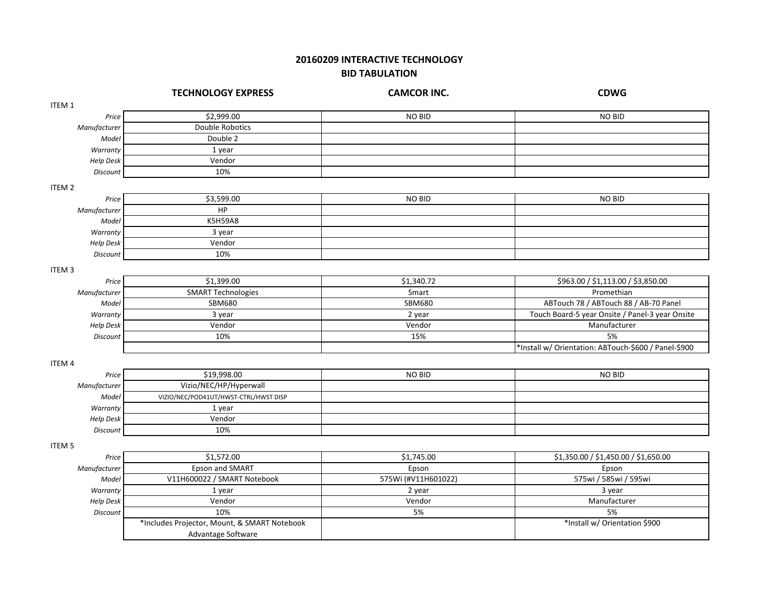## **20160209 INTERACTIVE TECHNOLOGY BID TABULATION**

|                   | <b>TECHNOLOGY EXPRESS</b>                    | <b>CAMCOR INC.</b>  | <b>CDWG</b>                                          |
|-------------------|----------------------------------------------|---------------------|------------------------------------------------------|
| ITEM 1            |                                              |                     |                                                      |
| Price             | \$2,999.00                                   | NO BID              | <b>NO BID</b>                                        |
| Manufacturer      | Double Robotics                              |                     |                                                      |
| Model             | Double 2                                     |                     |                                                      |
| Warranty          | 1 year                                       |                     |                                                      |
| <b>Help Desk</b>  | Vendor                                       |                     |                                                      |
| Discount          | 10%                                          |                     |                                                      |
| ITEM <sub>2</sub> |                                              |                     |                                                      |
| Price             | \$3,599.00                                   | NO BID              | <b>NO BID</b>                                        |
| Manufacturer      | HP                                           |                     |                                                      |
| Model             | <b>K5H59A8</b>                               |                     |                                                      |
| Warranty          | 3 year                                       |                     |                                                      |
| Help Desk         | Vendor                                       |                     |                                                      |
| Discount          | 10%                                          |                     |                                                      |
| ITEM <sub>3</sub> |                                              |                     |                                                      |
| Price             | \$1,399.00                                   | \$1,340.72          | \$963.00 / \$1,113.00 / \$3,850.00                   |
| Manufacturer      | <b>SMART Technologies</b>                    | Smart               | Promethian                                           |
| Model             | <b>SBM680</b>                                | SBM680              | ABTouch 78 / ABTouch 88 / AB-70 Panel                |
| Warranty          | 3 year                                       | 2 year              | Touch Board-5 year Onsite / Panel-3 year Onsite      |
| Help Desk         | Vendor                                       | Vendor              | Manufacturer                                         |
| Discount          | 10%                                          | 15%                 | 5%                                                   |
|                   |                                              |                     | *Install w/ Orientation: ABTouch-\$600 / Panel-\$900 |
| ITEM 4            |                                              |                     |                                                      |
| Price             | \$19,998.00                                  | NO BID              | <b>NO BID</b>                                        |
| Manufacturer      | Vizio/NEC/HP/Hyperwall                       |                     |                                                      |
| Model             | VIZIO/NEC/POD41UT/HWST-CTRL/HWST DISP        |                     |                                                      |
| Warranty          | 1 year                                       |                     |                                                      |
| Help Desk         | Vendor                                       |                     |                                                      |
| Discount          | 10%                                          |                     |                                                      |
| <b>ITEM 5</b>     |                                              |                     |                                                      |
| Price             | \$1,572.00                                   | \$1,745.00          | \$1,350.00 / \$1,450.00 / \$1,650.00                 |
| Manufacturer      | Epson and SMART                              | Epson               | Epson                                                |
| Model             | V11H600022 / SMART Notebook                  | 575Wi (#V11H601022) | 575wi / 585wi / 595wi                                |
| Warranty          | 1 year                                       | 2 year              | 3 year                                               |
| <b>Help Desk</b>  | Vendor                                       | Vendor              | Manufacturer                                         |
| Discount          | 10%                                          | 5%                  | 5%                                                   |
|                   | *Includes Projector, Mount, & SMART Notebook |                     | *Install w/ Orientation \$900                        |
|                   | Advantage Software                           |                     |                                                      |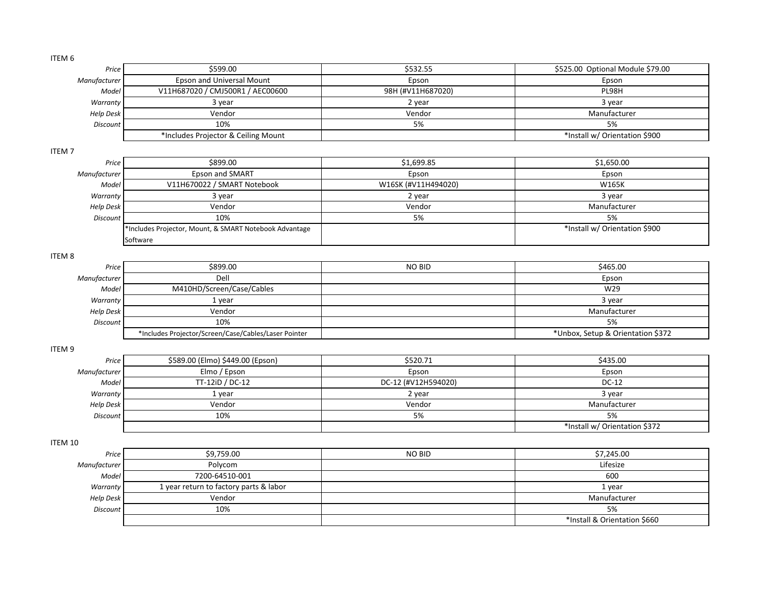| ITEM 6            |                                                        |                     |                                   |
|-------------------|--------------------------------------------------------|---------------------|-----------------------------------|
| Price             | \$599.00                                               | \$532.55            | \$525.00 Optional Module \$79.00  |
| Manufacturer      | <b>Epson and Universal Mount</b>                       | Epson               | Epson                             |
| Model             | V11H687020 / CMJ500R1 / AEC00600                       | 98H (#V11H687020)   | PL98H                             |
| Warranty          | 3 year                                                 | 2 year              | 3 year                            |
| <b>Help Desk</b>  | Vendor                                                 | Vendor              | Manufacturer                      |
| <b>Discount</b>   | 10%                                                    | 5%                  | 5%                                |
|                   | *Includes Projector & Ceiling Mount                    |                     | *Install w/ Orientation \$900     |
| ITEM <sub>7</sub> |                                                        |                     |                                   |
| Price             | \$899.00                                               | \$1,699.85          | \$1,650.00                        |
| Manufacturer      | Epson and SMART                                        | Epson               | Epson                             |
| Model             | V11H670022 / SMART Notebook                            | W16SK (#V11H494020) | W165K                             |
| Warranty          | 3 year                                                 | 2 year              | 3 year                            |
| <b>Help Desk</b>  | Vendor                                                 | Vendor              | Manufacturer                      |
| <b>Discount</b>   | 10%                                                    | 5%                  | 5%                                |
|                   | *Includes Projector, Mount, & SMART Notebook Advantage |                     | *Install w/ Orientation \$900     |
|                   | Software                                               |                     |                                   |
|                   |                                                        |                     |                                   |
| ITEM <sub>8</sub> |                                                        |                     |                                   |
| Price             | \$899.00                                               | NO BID              | \$465.00                          |
| Manufacturer      | Dell                                                   |                     | Epson                             |
| Model             | M410HD/Screen/Case/Cables                              |                     | W29                               |
| Warranty          | 1 year                                                 |                     | 3 year                            |
| <b>Help Desk</b>  | Vendor                                                 |                     | Manufacturer                      |
| Discount          | 10%                                                    |                     | 5%                                |
|                   | *Includes Projector/Screen/Case/Cables/Laser Pointer   |                     | *Unbox, Setup & Orientation \$372 |
| ITEM 9            |                                                        |                     |                                   |
| Price             | \$589.00 (Elmo) \$449.00 (Epson)                       | \$520.71            | \$435.00                          |
| Manufacturer      | Elmo / Epson                                           | Epson               | Epson                             |
| Model             | TT-12iD / DC-12                                        | DC-12 (#V12H594020) | DC-12                             |
| Warranty          | 1 year                                                 | 2 year              | 3 year                            |
| <b>Help Desk</b>  | Vendor                                                 | Vendor              | Manufacturer                      |
| <b>Discount</b>   | 10%                                                    | 5%                  | 5%                                |
|                   |                                                        |                     | *Install w/ Orientation \$372     |
| ITEM 10           |                                                        |                     |                                   |
| Price             | \$9,759.00                                             | NO BID              | \$7,245.00                        |
| Manufacturer      | Polycom                                                |                     | Lifesize                          |
| Model             | 7200-64510-001                                         |                     | 600                               |
| Warranty          | 1 year return to factory parts & labor                 |                     | 1 year                            |
| <b>Help Desk</b>  | Vendor                                                 |                     | Manufacturer                      |
| <b>Discount</b>   | 10%                                                    |                     | 5%                                |
|                   |                                                        |                     | *Install & Orientation \$660      |
|                   |                                                        |                     |                                   |